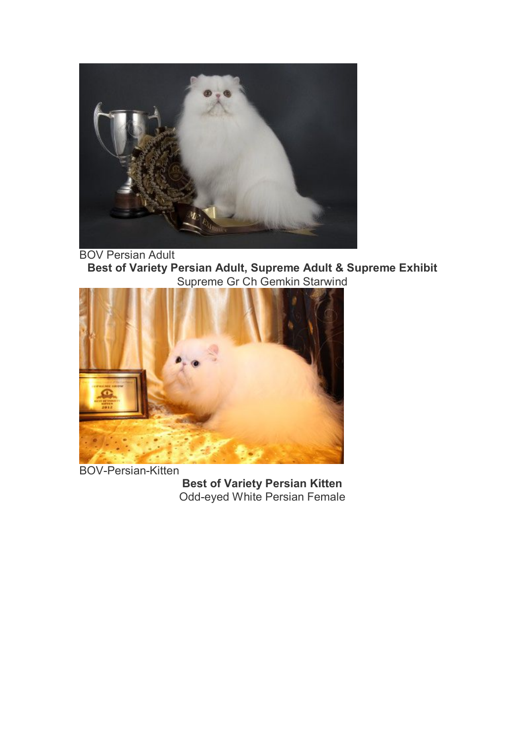

BOV Persian Adult **Best of Variety Persian Adult, Supreme Adult & Supreme Exhibit** Supreme Gr Ch Gemkin Starwind



BOV-Persian-Kitten

**Best of Variety Persian Kitten** Odd-eyed White Persian Female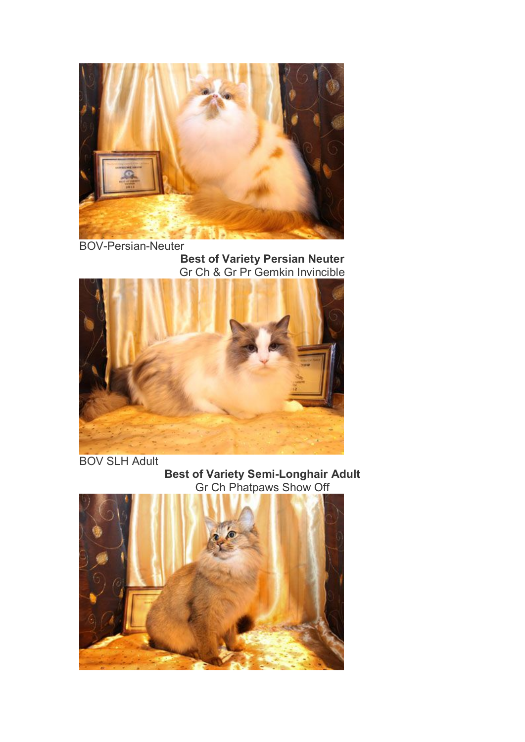

**Best of Variety Persian Neuter** Gr Ch & Gr Pr Gemkin Invincible



BOV SLH Adult



**Best of Variety Semi-Longhair Adult**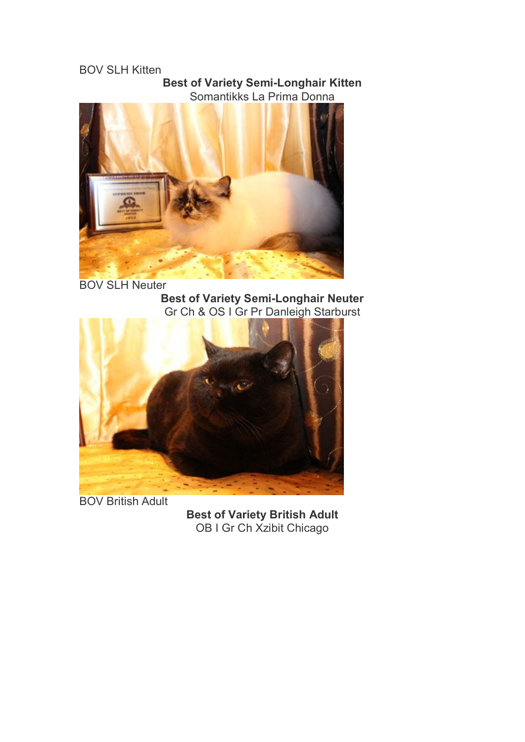## BOV SLH Kitten

#### **Best of Variety Semi-Longhair Kitten** Somantikks La Prima Donna



BOV SLH Neuter **Best of Variety Semi-Longhair Neuter** Gr Ch & OS I Gr Pr Danleigh Starburst



BOV British Adult

**Best of Variety British Adult** OB I Gr Ch Xzibit Chicago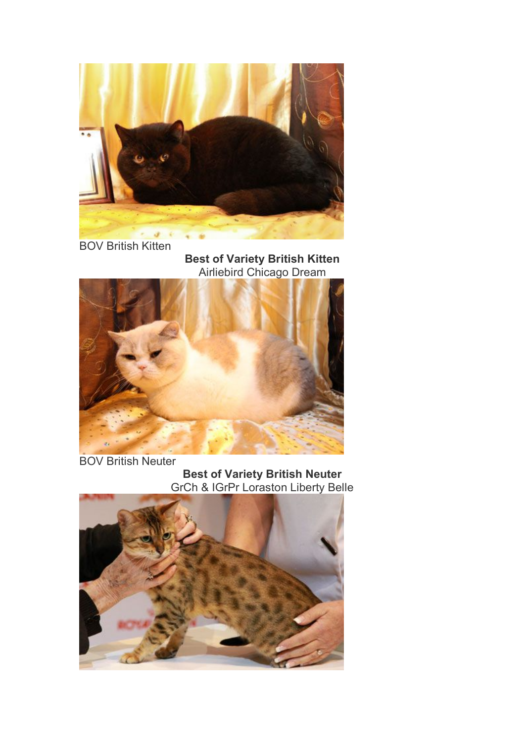

BOV British Kitten

**Best of Variety British Kitten** Airliebird Chicago Dream



BOV British Neuter

**Best of Variety British Neuter** GrCh & IGrPr Loraston Liberty Belle

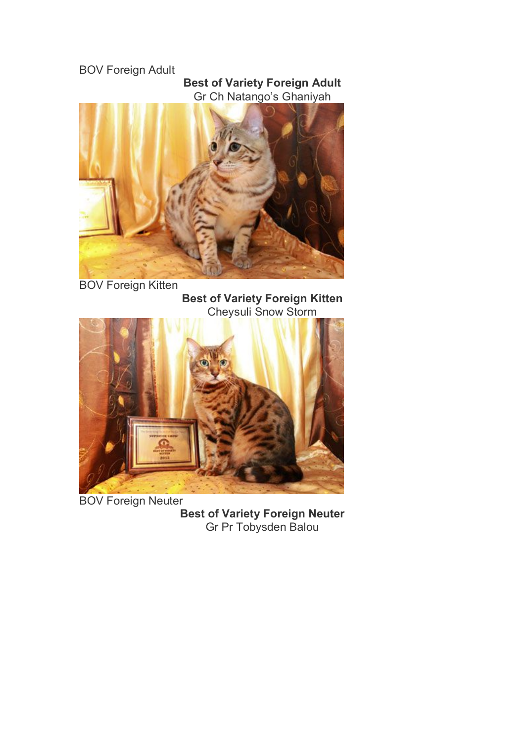# BOV Foreign Adult

## **Best of Variety Foreign Adult** Gr Ch Natango's Ghaniyah



**Best of Variety Foreign Kitten** Cheysuli Snow Storm



BOV Foreign Neuter **Best of Variety Foreign Neuter** Gr Pr Tobysden Balou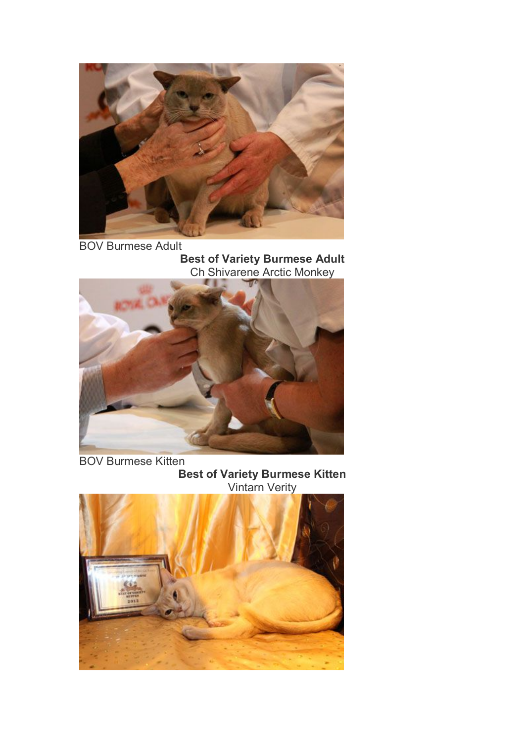

BOV Burmese Adult **Best of Variety Burmese Adult** Ch Shivarene Arctic Monkey



BOV Burmese Kitten **Best of Variety Burmese Kitten** Vintarn Verity

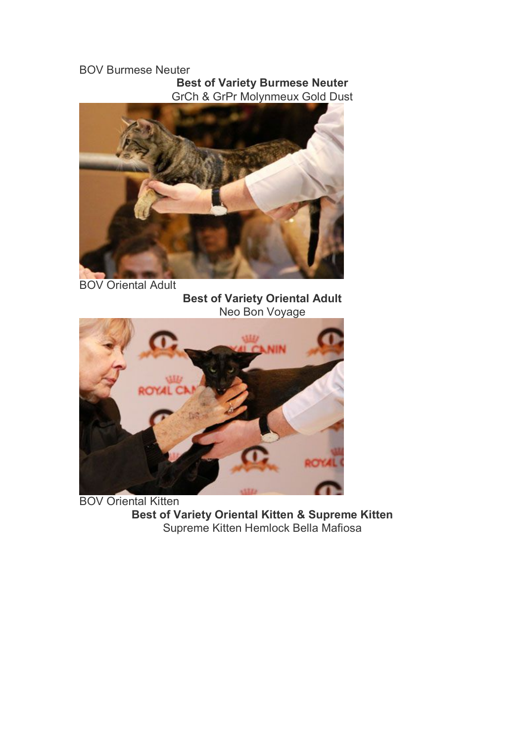### BOV Burmese Neuter **Best of Variety Burmese Neuter** GrCh & GrPr Molynmeux Gold Dust



BOV Oriental Adult

**Best of Variety Oriental Adult** Neo Bon Voyage



BOV Oriental Kitten **Best of Variety Oriental Kitten & Supreme Kitten** Supreme Kitten Hemlock Bella Mafiosa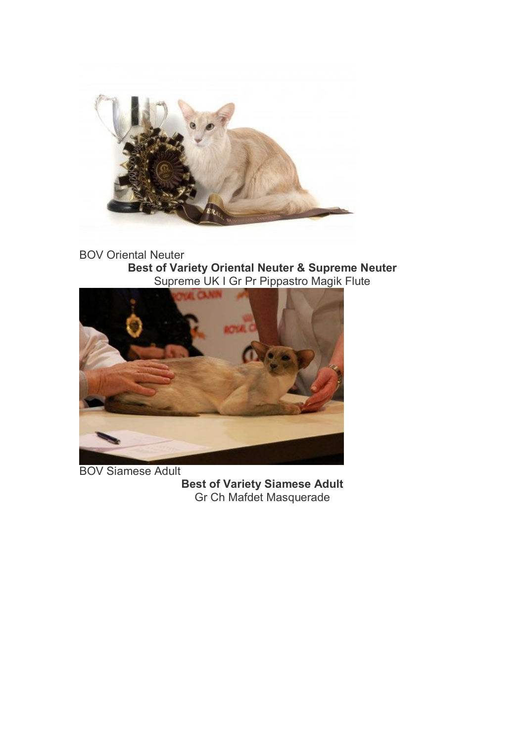

BOV Oriental Neuter **Best of Variety Oriental Neuter & Supreme Neuter** Supreme UK I Gr Pr Pippastro Magik Flute



BOV Siamese Adult

**Best of Variety Siamese Adult** Gr Ch Mafdet Masquerade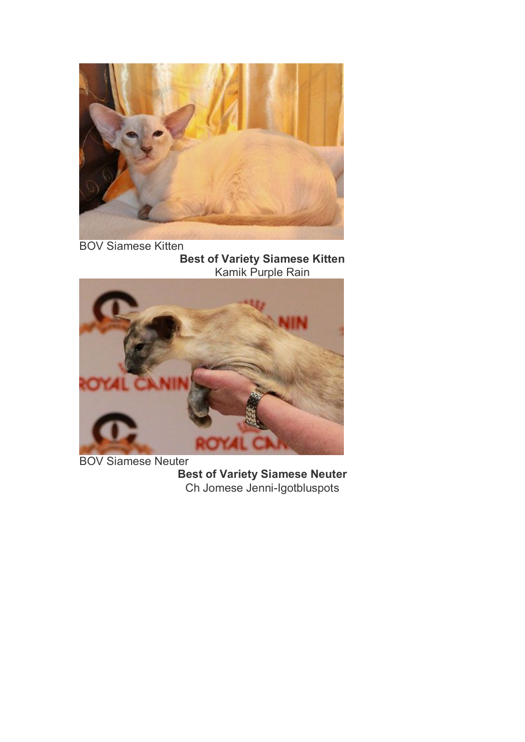

BOV Siamese Kitten **Best of Variety Siamese Kitten** Kamik Purple Rain



BOV Siamese Neuter **Best of Variety Siamese Neuter** Ch Jomese Jenni-Igotbluspots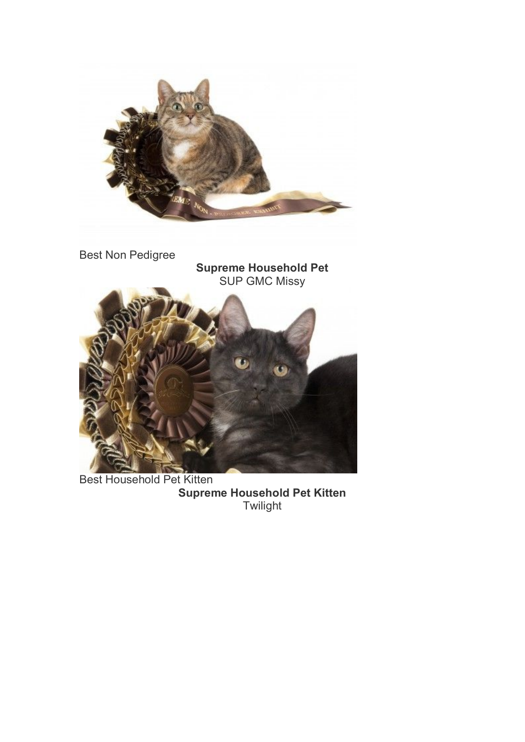

Best Household Pet Kitten **Supreme Household Pet Kitten Twilight**